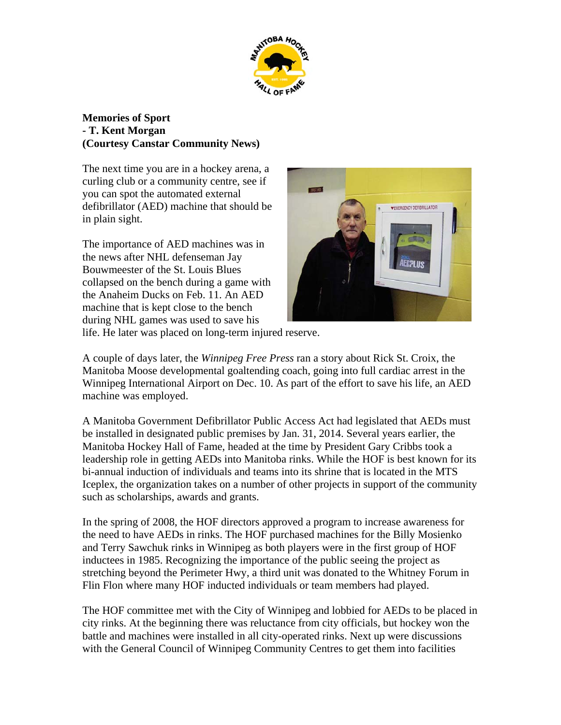

## **Memories of Sport - T. Kent Morgan (Courtesy Canstar Community News)**

The next time you are in a hockey arena, a curling club or a community centre, see if you can spot the automated external defibrillator (AED) machine that should be in plain sight.

The importance of AED machines was in the news after NHL defenseman Jay Bouwmeester of the St. Louis Blues collapsed on the bench during a game with the Anaheim Ducks on Feb. 11. An AED machine that is kept close to the bench during NHL games was used to save his



life. He later was placed on long-term injured reserve.

A couple of days later, the *Winnipeg Free Press* ran a story about Rick St. Croix, the Manitoba Moose developmental goaltending coach, going into full cardiac arrest in the Winnipeg International Airport on Dec. 10. As part of the effort to save his life, an AED machine was employed.

A Manitoba Government Defibrillator Public Access Act had legislated that AEDs must be installed in designated public premises by Jan. 31, 2014. Several years earlier, the Manitoba Hockey Hall of Fame, headed at the time by President Gary Cribbs took a leadership role in getting AEDs into Manitoba rinks. While the HOF is best known for its bi-annual induction of individuals and teams into its shrine that is located in the MTS Iceplex, the organization takes on a number of other projects in support of the community such as scholarships, awards and grants.

In the spring of 2008, the HOF directors approved a program to increase awareness for the need to have AEDs in rinks. The HOF purchased machines for the Billy Mosienko and Terry Sawchuk rinks in Winnipeg as both players were in the first group of HOF inductees in 1985. Recognizing the importance of the public seeing the project as stretching beyond the Perimeter Hwy, a third unit was donated to the Whitney Forum in Flin Flon where many HOF inducted individuals or team members had played.

The HOF committee met with the City of Winnipeg and lobbied for AEDs to be placed in city rinks. At the beginning there was reluctance from city officials, but hockey won the battle and machines were installed in all city-operated rinks. Next up were discussions with the General Council of Winnipeg Community Centres to get them into facilities